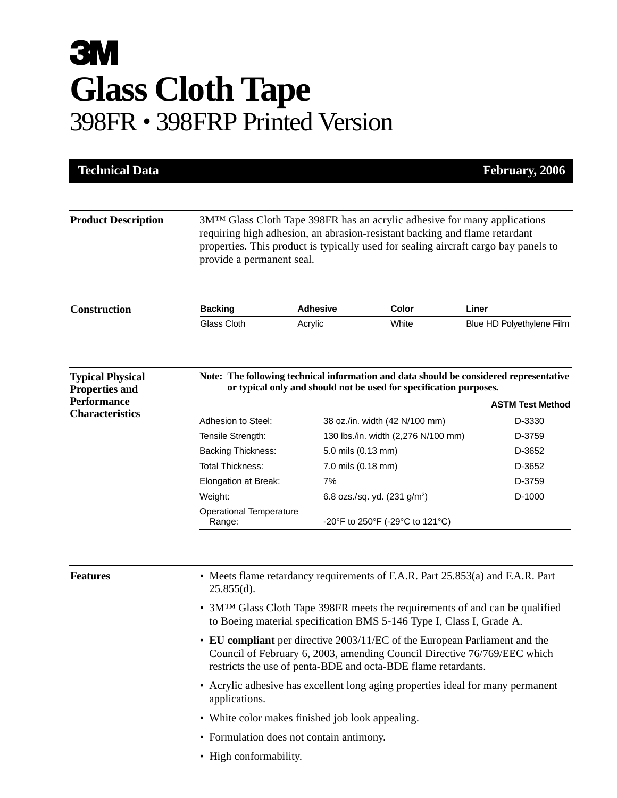## **3M Glass Cloth Tape**  398FR • 398FRP Printed Version

| <b>Product Description</b><br><b>Construction</b><br><b>Typical Physical</b><br><b>Properties and</b><br><b>Performance</b><br><b>Characteristics</b> | provide a permanent seal.<br><b>Backing</b><br>Glass Cloth                                                                                                                                                              | <b>Adhesive</b><br>Acrylic | 3M <sup>TM</sup> Glass Cloth Tape 398FR has an acrylic adhesive for many applications<br>requiring high adhesion, an abrasion-resistant backing and flame retardant<br>properties. This product is typically used for sealing aircraft cargo bay panels to<br>Color | Liner                     |  |
|-------------------------------------------------------------------------------------------------------------------------------------------------------|-------------------------------------------------------------------------------------------------------------------------------------------------------------------------------------------------------------------------|----------------------------|---------------------------------------------------------------------------------------------------------------------------------------------------------------------------------------------------------------------------------------------------------------------|---------------------------|--|
|                                                                                                                                                       |                                                                                                                                                                                                                         |                            |                                                                                                                                                                                                                                                                     |                           |  |
|                                                                                                                                                       |                                                                                                                                                                                                                         |                            |                                                                                                                                                                                                                                                                     |                           |  |
|                                                                                                                                                       |                                                                                                                                                                                                                         |                            | White                                                                                                                                                                                                                                                               | Blue HD Polyethylene Film |  |
|                                                                                                                                                       | Note: The following technical information and data should be considered representative<br>or typical only and should not be used for specification purposes.<br><b>ASTM Test Method</b>                                 |                            |                                                                                                                                                                                                                                                                     |                           |  |
|                                                                                                                                                       | Adhesion to Steel:                                                                                                                                                                                                      |                            | 38 oz./in. width (42 N/100 mm)                                                                                                                                                                                                                                      | D-3330                    |  |
|                                                                                                                                                       | Tensile Strength:                                                                                                                                                                                                       |                            | 130 lbs./in. width (2,276 N/100 mm)                                                                                                                                                                                                                                 | D-3759                    |  |
|                                                                                                                                                       | <b>Backing Thickness:</b>                                                                                                                                                                                               | 5.0 mils (0.13 mm)         |                                                                                                                                                                                                                                                                     | D-3652                    |  |
|                                                                                                                                                       | <b>Total Thickness:</b>                                                                                                                                                                                                 |                            | 7.0 mils (0.18 mm)                                                                                                                                                                                                                                                  |                           |  |
|                                                                                                                                                       | Elongation at Break:                                                                                                                                                                                                    | 7%                         |                                                                                                                                                                                                                                                                     | D-3652<br>D-3759          |  |
|                                                                                                                                                       | Weight:                                                                                                                                                                                                                 |                            | 6.8 ozs./sq. yd. $(231 \text{ g/m}^2)$                                                                                                                                                                                                                              | D-1000                    |  |
|                                                                                                                                                       | <b>Operational Temperature</b><br>Range:                                                                                                                                                                                |                            | -20°F to 250°F (-29°C to 121°C)                                                                                                                                                                                                                                     |                           |  |
| <b>Features</b>                                                                                                                                       | • Meets flame retardancy requirements of F.A.R. Part 25.853(a) and F.A.R. Part<br>$25.855(d)$ .                                                                                                                         |                            |                                                                                                                                                                                                                                                                     |                           |  |
|                                                                                                                                                       | • $3MTM$ Glass Cloth Tape 398FR meets the requirements of and can be qualified<br>to Boeing material specification BMS 5-146 Type I, Class I, Grade A.                                                                  |                            |                                                                                                                                                                                                                                                                     |                           |  |
|                                                                                                                                                       | • EU compliant per directive 2003/11/EC of the European Parliament and the<br>Council of February 6, 2003, amending Council Directive 76/769/EEC which<br>restricts the use of penta-BDE and octa-BDE flame retardants. |                            |                                                                                                                                                                                                                                                                     |                           |  |
|                                                                                                                                                       | • Acrylic adhesive has excellent long aging properties ideal for many permanent<br>applications.                                                                                                                        |                            |                                                                                                                                                                                                                                                                     |                           |  |
|                                                                                                                                                       | • White color makes finished job look appealing.                                                                                                                                                                        |                            |                                                                                                                                                                                                                                                                     |                           |  |
|                                                                                                                                                       | • Formulation does not contain antimony.                                                                                                                                                                                |                            |                                                                                                                                                                                                                                                                     |                           |  |
|                                                                                                                                                       | • High conformability.                                                                                                                                                                                                  |                            |                                                                                                                                                                                                                                                                     |                           |  |